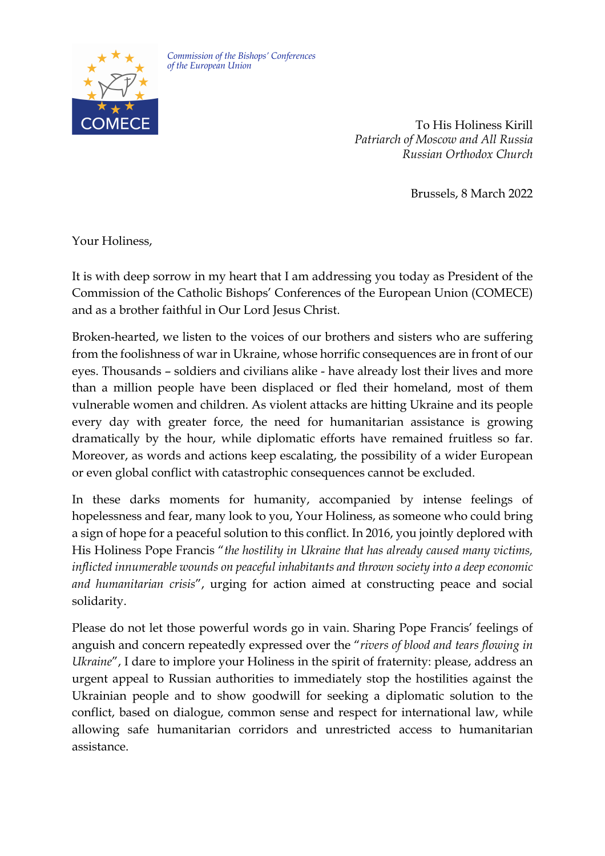

*Commission of the Bishops' Conferences of the European Union*

> To His Holiness Kirill *Patriarch of Moscow and All Russia Russian Orthodox Church*

> > Brussels, 8 March 2022

Your Holiness,

It is with deep sorrow in my heart that I am addressing you today as President of the Commission of the Catholic Bishops' Conferences of the European Union (COMECE) and as a brother faithful in Our Lord Jesus Christ.

Broken-hearted, we listen to the voices of our brothers and sisters who are suffering from the foolishness of war in Ukraine, whose horrific consequences are in front of our eyes. Thousands – soldiers and civilians alike - have already lost their lives and more than a million people have been displaced or fled their homeland, most of them vulnerable women and children. As violent attacks are hitting Ukraine and its people every day with greater force, the need for humanitarian assistance is growing dramatically by the hour, while diplomatic efforts have remained fruitless so far. Moreover, as words and actions keep escalating, the possibility of a wider European or even global conflict with catastrophic consequences cannot be excluded.

In these darks moments for humanity, accompanied by intense feelings of hopelessness and fear, many look to you, Your Holiness, as someone who could bring a sign of hope for a peaceful solution to this conflict. In 2016, you jointly deplored with His Holiness Pope Francis "*the hostility in Ukraine that has already caused many victims, inflicted innumerable wounds on peaceful inhabitants and thrown society into a deep economic and humanitarian crisis*", urging for action aimed at constructing peace and social solidarity.

Please do not let those powerful words go in vain. Sharing Pope Francis' feelings of anguish and concern repeatedly expressed over the "*rivers of blood and tears flowing in Ukraine*", I dare to implore your Holiness in the spirit of fraternity: please, address an urgent appeal to Russian authorities to immediately stop the hostilities against the Ukrainian people and to show goodwill for seeking a diplomatic solution to the conflict, based on dialogue, common sense and respect for international law, while allowing safe humanitarian corridors and unrestricted access to humanitarian assistance.